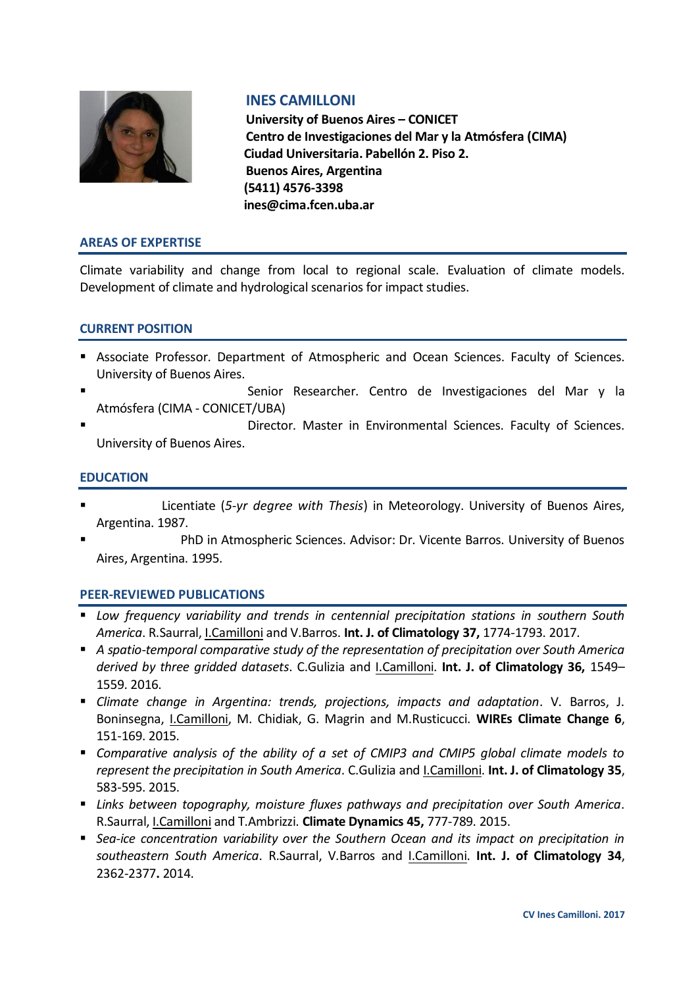

# **INES CAMILLONI**

**University of Buenos Aires – CONICET Centro de Investigaciones del Mar y la Atmósfera (CIMA) Ciudad Universitaria. Pabellón 2. Piso 2. Buenos Aires, Argentina (5411) 4576-3398 ines@cima.fcen.uba.ar**

#### **AREAS OF EXPERTISE**

Climate variability and change from local to regional scale. Evaluation of climate models. Development of climate and hydrological scenarios for impact studies.

### **CURRENT POSITION**

- Associate Professor. Department of Atmospheric and Ocean Sciences. Faculty of Sciences. University of Buenos Aires.
- Senior Researcher. Centro de Investigaciones del Mar y la Atmósfera (CIMA - CONICET/UBA)
- Director. Master in Environmental Sciences. Faculty of Sciences. University of Buenos Aires.

#### **EDUCATION**

- Licentiate (*5-yr degree with Thesis*) in Meteorology. University of Buenos Aires, Argentina. 1987.
- PhD in Atmospheric Sciences. Advisor: Dr. Vicente Barros. University of Buenos Aires, Argentina. 1995.

### **PEER-REVIEWED PUBLICATIONS**

- *Low frequency variability and trends in centennial precipitation stations in southern South America*. R.Saurral, I.Camilloni and V.Barros. **Int. J. of Climatology 37,** 1774-1793. 2017.
- *A spatio-temporal comparative study of the representation of precipitation over South America derived by three gridded datasets*. C.Gulizia and I.Camilloni. **Int. J. of Climatology 36,** 1549– 1559. 2016.
- *Climate change in Argentina: trends, projections, impacts and adaptation*. V. Barros, J. Boninsegna, I.Camilloni, M. Chidiak, G. Magrin and M.Rusticucci. **WIREs Climate Change 6**, 151-169. 2015.
- *Comparative analysis of the ability of a set of CMIP3 and CMIP5 global climate models to represent the precipitation in South America*. C.Gulizia and I.Camilloni. **Int. J. of Climatology 35**, 583-595. 2015.
- *Links between topography, moisture fluxes pathways and precipitation over South America*. R.Saurral, I.Camilloni and T.Ambrizzi. **Climate Dynamics 45,** 777-789. 2015.
- *Sea-ice concentration variability over the Southern Ocean and its impact on precipitation in southeastern South America*. R.Saurral, V.Barros and I.Camilloni. **Int. J. of Climatology 34**, 2362-2377**.** 2014.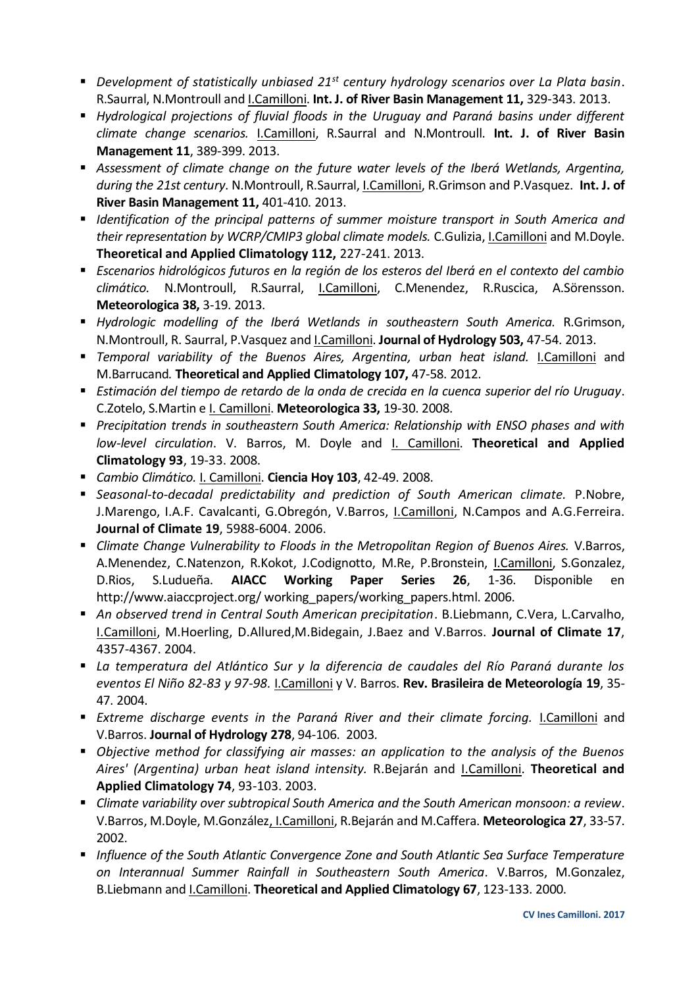- *Development of statistically unbiased 21st century hydrology scenarios over La Plata basin*. R.Saurral, N.Montroull and I.Camilloni. **Int. J. of River Basin Management 11,** 329-343. 2013.
- *Hydrological projections of fluvial floods in the Uruguay and Paraná basins under different climate change scenarios.* I.Camilloni, R.Saurral and N.Montroull. **Int. J. of River Basin Management 11**, 389-399. 2013.
- *Assessment of climate change on the future water levels of the Iberá Wetlands, Argentina, during the 21st century*. N.Montroull, R.Saurral, I.Camilloni, R.Grimson and P.Vasquez. **Int. J. of River Basin Management 11,** 401-410. 2013.
- *Identification of the principal patterns of summer moisture transport in South America and their representation by WCRP/CMIP3 global climate models.* C.Gulizia, I.Camilloni and M.Doyle. **Theoretical and Applied Climatology 112,** 227-241. 2013.
- *Escenarios hidrológicos futuros en la región de los esteros del Iberá en el contexto del cambio climático.* N.Montroull, R.Saurral, I.Camilloni, C.Menendez, R.Ruscica, A.Sörensson. **Meteorologica 38,** 3-19. 2013.
- *Hydrologic modelling of the Iberá Wetlands in southeastern South America.* R.Grimson, N.Montroull, R. Saurral, P.Vasquez and I.Camilloni. **Journal of Hydrology 503,** 47-54. 2013.
- *Temporal variability of the Buenos Aires, Argentina, urban heat island.* I.Camilloni and M.Barrucand*.* **Theoretical and Applied Climatology 107,** 47-58. 2012.
- *Estimación del tiempo de retardo de la onda de crecida en la cuenca superior del río Uruguay*. C.Zotelo, S.Martin e I. Camilloni. **Meteorologica 33,** 19-30. 2008.
- *Precipitation trends in southeastern South America: Relationship with ENSO phases and with low-level circulation*. V. Barros, M. Doyle and I. Camilloni. **Theoretical and Applied Climatology 93**, 19-33. 2008.
- *Cambio Climático.* I. Camilloni. **Ciencia Hoy 103**, 42-49. 2008.
- *Seasonal-to-decadal predictability and prediction of South American climate.* P.Nobre, J.Marengo, I.A.F. Cavalcanti, G.Obregón, V.Barros, I.Camilloni, N.Campos and A.G.Ferreira. **Journal of Climate 19**, 5988-6004. 2006.
- **E** Climate Change Vulnerability to Floods in the Metropolitan Region of Buenos Aires. V.Barros, A.Menendez, C.Natenzon, R.Kokot, J.Codignotto, M.Re, P.Bronstein, I.Camilloni, S.Gonzalez, D.Rios, S.Ludueña. **AIACC Working Paper Series 26**, 1-36. Disponible en http://www.aiaccproject.org/ working\_papers/working\_papers.html. 2006.
- *An observed trend in Central South American precipitation*. B.Liebmann, C.Vera, L.Carvalho, I.Camilloni, M.Hoerling, D.Allured,M.Bidegain, J.Baez and V.Barros. **Journal of Climate 17**, 4357-4367. 2004.
- *La temperatura del Atlántico Sur y la diferencia de caudales del Río Paraná durante los eventos El Niño 82-83 y 97-98*. I.Camilloni y V. Barros. **Rev. Brasileira de Meteorología 19**, 35- 47. 2004.
- *Extreme discharge events in the Paraná River and their climate forcing.* I.Camilloni and V.Barros. **Journal of Hydrology 278**, 94-106. 2003*.*
- *Objective method for classifying air masses: an application to the analysis of the Buenos Aires' (Argentina) urban heat island intensity.* R.Bejarán and I.Camilloni. **Theoretical and Applied Climatology 74**, 93-103. 2003.
- *Climate variability over subtropical South America and the South American monsoon: a review*. V.Barros, M.Doyle, M.González, I.Camilloni, R.Bejarán and M.Caffera. **Meteorologica 27**, 33-57. 2002.
- *Influence of the South Atlantic Convergence Zone and South Atlantic Sea Surface Temperature on Interannual Summer Rainfall in Southeastern South America*. V.Barros, M.Gonzalez, B.Liebmann and I.Camilloni. **Theoretical and Applied Climatology 67**, 123-133. 2000.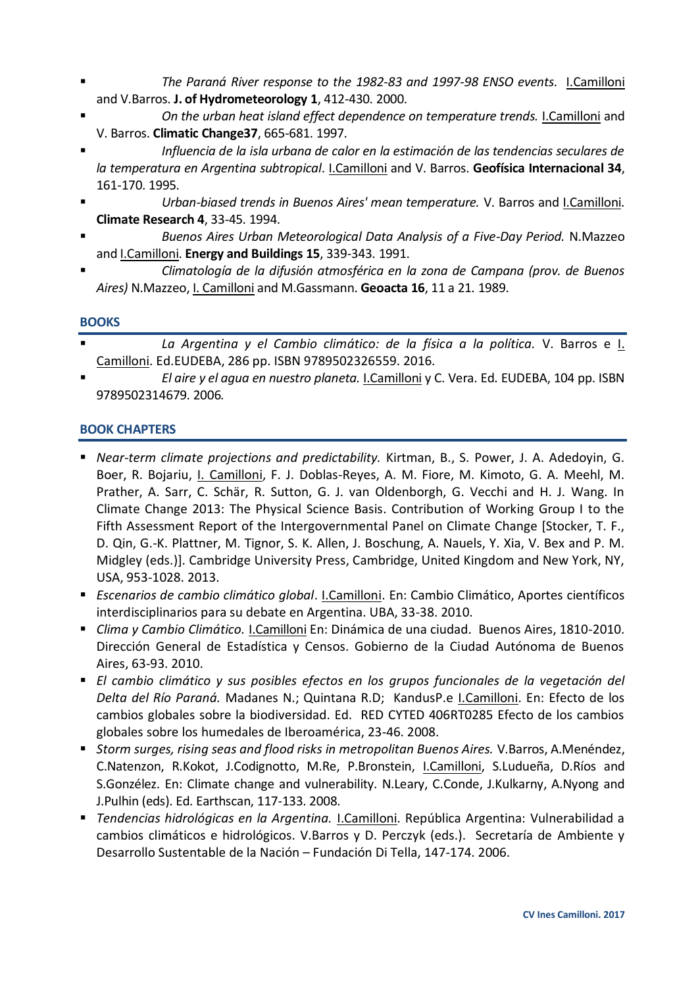- *The Paraná River response to the 1982-83 and 1997-98 ENSO events*. I.Camilloni and V.Barros. **J. of Hydrometeorology 1**, 412-430. 2000.
- *On the urban heat island effect dependence on temperature trends.* I.Camilloni and V. Barros. **Climatic Change37**, 665-681. 1997.
- *Influencia de la isla urbana de calor en la estimación de las tendencias seculares de la temperatura en Argentina subtropical*. I.Camilloni and V. Barros. **Geofísica Internacional 34**, 161-170. 1995.
- *Urban-biased trends in Buenos Aires' mean temperature.* V. Barros and I.Camilloni. **Climate Research 4**, 33-45. 1994.
- *Buenos Aires Urban Meteorological Data Analysis of a Five-Day Period.* N.Mazzeo and I.Camilloni. **Energy and Buildings 15**, 339-343. 1991.
- *Climatología de la difusión atmosférica en la zona de Campana (prov. de Buenos Aires)* N.Mazzeo, I. Camilloni and M.Gassmann. **Geoacta 16**, 11 a 21. 1989.

## **BOOKS**

- *La Argentina y el Cambio climático: de la física a la política.* V. Barros e I. Camilloni. Ed.EUDEBA, 286 pp. ISBN 9789502326559. 2016.
- *El aire y el agua en nuestro planeta.* I.Camilloni y C. Vera. Ed. EUDEBA, 104 pp. ISBN 9789502314679. 2006*.*

## **BOOK CHAPTERS**

- *Near-term climate projections and predictability.* Kirtman, B., S. Power, J. A. Adedoyin, G. Boer, R. Bojariu, I. Camilloni, F. J. Doblas-Reyes, A. M. Fiore, M. Kimoto, G. A. Meehl, M. Prather, A. Sarr, C. Schär, R. Sutton, G. J. van Oldenborgh, G. Vecchi and H. J. Wang. In Climate Change 2013: The Physical Science Basis. Contribution of Working Group I to the Fifth Assessment Report of the Intergovernmental Panel on Climate Change [Stocker, T. F., D. Qin, G.-K. Plattner, M. Tignor, S. K. Allen, J. Boschung, A. Nauels, Y. Xia, V. Bex and P. M. Midgley (eds.)]. Cambridge University Press, Cambridge, United Kingdom and New York, NY, USA, 953-1028. 2013.
- *Escenarios de cambio climático global*. I.Camilloni. En: Cambio Climático, Aportes científicos interdisciplinarios para su debate en Argentina. UBA, 33-38. 2010.
- *Clima y Cambio Climático.* I.Camilloni En: Dinámica de una ciudad. Buenos Aires, 1810-2010. Dirección General de Estadística y Censos. Gobierno de la Ciudad Autónoma de Buenos Aires, 63-93. 2010.
- *El cambio climático y sus posibles efectos en los grupos funcionales de la vegetación del Delta del Río Paraná.* Madanes N.; Quintana R.D; KandusP.e I.Camilloni. En: Efecto de los cambios globales sobre la biodiversidad. Ed. RED CYTED 406RT0285 Efecto de los cambios globales sobre los humedales de Iberoamérica, 23-46. 2008.
- *Storm surges, rising seas and flood risks in metropolitan Buenos Aires.* V.Barros, A.Menéndez, C.Natenzon, R.Kokot, J.Codignotto, M.Re, P.Bronstein, I.Camilloni, S.Ludueña, D.Ríos and S.Gonzélez. En: Climate change and vulnerability. N.Leary, C.Conde, J.Kulkarny, A.Nyong and J.Pulhin (eds). Ed. Earthscan, 117-133. 2008.
- *Tendencias hidrológicas en la Argentina.* I.Camilloni. República Argentina: Vulnerabilidad a cambios climáticos e hidrológicos. V.Barros y D. Perczyk (eds.). Secretaría de Ambiente y Desarrollo Sustentable de la Nación – Fundación Di Tella, 147-174. 2006.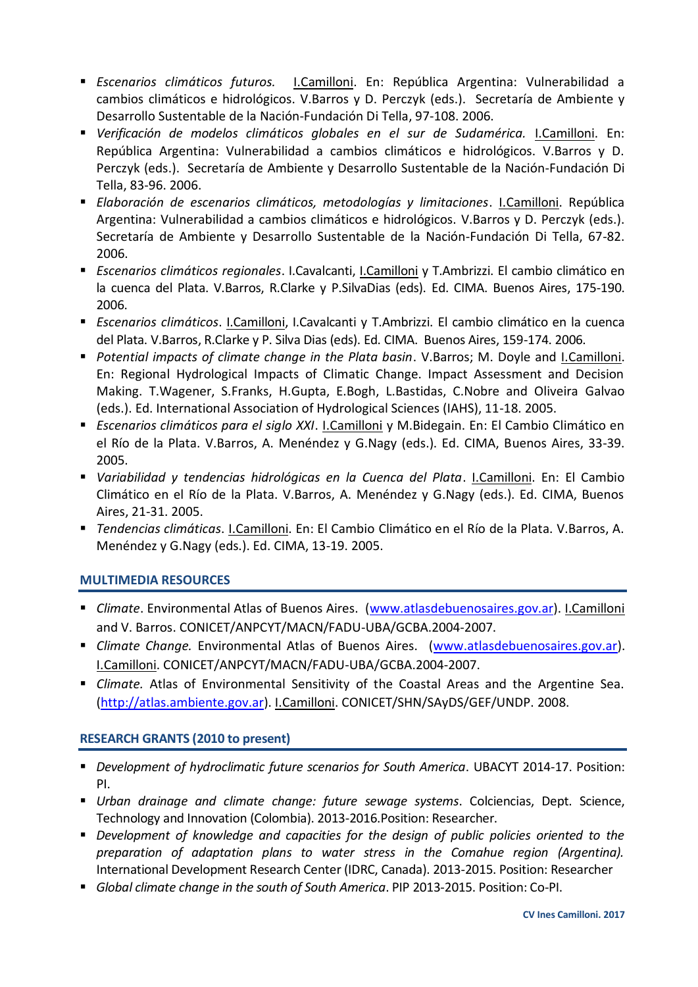- *Escenarios climáticos futuros.* I.Camilloni. En: República Argentina: Vulnerabilidad a cambios climáticos e hidrológicos. V.Barros y D. Perczyk (eds.). Secretaría de Ambiente y Desarrollo Sustentable de la Nación-Fundación Di Tella, 97-108. 2006.
- *Verificación de modelos climáticos globales en el sur de Sudamérica.* I.Camilloni. En: República Argentina: Vulnerabilidad a cambios climáticos e hidrológicos. V.Barros y D. Perczyk (eds.). Secretaría de Ambiente y Desarrollo Sustentable de la Nación-Fundación Di Tella, 83-96. 2006.
- *Elaboración de escenarios climáticos, metodologías y limitaciones*. I.Camilloni. República Argentina: Vulnerabilidad a cambios climáticos e hidrológicos. V.Barros y D. Perczyk (eds.). Secretaría de Ambiente y Desarrollo Sustentable de la Nación-Fundación Di Tella, 67-82. 2006.
- *Escenarios climáticos regionales*. I.Cavalcanti, I.Camilloni y T.Ambrizzi. El cambio climático en la cuenca del Plata. V.Barros, R.Clarke y P.SilvaDias (eds). Ed. CIMA. Buenos Aires, 175-190. 2006.
- *Escenarios climáticos*. I.Camilloni, I.Cavalcanti y T.Ambrizzi. El cambio climático en la cuenca del Plata. V.Barros, R.Clarke y P. Silva Dias (eds). Ed. CIMA. Buenos Aires, 159-174. 2006.
- *Potential impacts of climate change in the Plata basin*. V.Barros; M. Doyle and I.Camilloni. En: Regional Hydrological Impacts of Climatic Change. Impact Assessment and Decision Making. T.Wagener, S.Franks, H.Gupta, E.Bogh, L.Bastidas, C.Nobre and Oliveira Galvao (eds.). Ed. International Association of Hydrological Sciences (IAHS), 11-18. 2005.
- *Escenarios climáticos para el siglo XXI*. I.Camilloni y M.Bidegain. En: El Cambio Climático en el Río de la Plata. V.Barros, A. Menéndez y G.Nagy (eds.). Ed. CIMA, Buenos Aires, 33-39. 2005.
- *Variabilidad y tendencias hidrológicas en la Cuenca del Plata*. I.Camilloni. En: El Cambio Climático en el Río de la Plata. V.Barros, A. Menéndez y G.Nagy (eds.). Ed. CIMA, Buenos Aires, 21-31. 2005.
- *Tendencias climáticas*. I.Camilloni. En: El Cambio Climático en el Río de la Plata. V.Barros, A. Menéndez y G.Nagy (eds.). Ed. CIMA, 13-19. 2005.

# **MULTIMEDIA RESOURCES**

- *Climate*. Environmental Atlas of Buenos Aires. [\(www.atlasdebuenosaires.gov.ar\)](http://www.atlasdebuenosaires.gov.ar/). I.Camilloni and V. Barros. CONICET/ANPCYT/MACN/FADU-UBA/GCBA.2004-2007.
- *Climate Change.* Environmental Atlas of Buenos Aires. [\(www.atlasdebuenosaires.gov.ar\)](http://www.atlasdebuenosaires.gov.ar/). I.Camilloni. CONICET/ANPCYT/MACN/FADU-UBA/GCBA.2004-2007.
- *Climate.* Atlas of Environmental Sensitivity of the Coastal Areas and the Argentine Sea. [\(http://atlas.ambiente.gov.ar\)](http://atlas.ambiente.gov.ar/). I.Camilloni. CONICET/SHN/SAyDS/GEF/UNDP. 2008.

# **RESEARCH GRANTS (2010 to present)**

- *Development of hydroclimatic future scenarios for South America*. UBACYT 2014-17. Position: PI.
- *Urban drainage and climate change: future sewage systems*. Colciencias, Dept. Science, Technology and Innovation (Colombia). 2013-2016.Position: Researcher.
- *Development of knowledge and capacities for the design of public policies oriented to the preparation of adaptation plans to water stress in the Comahue region (Argentina).* International Development Research Center (IDRC, Canada). 2013-2015. Position: Researcher
- *Global climate change in the south of South America*. PIP 2013-2015. Position: Co-PI.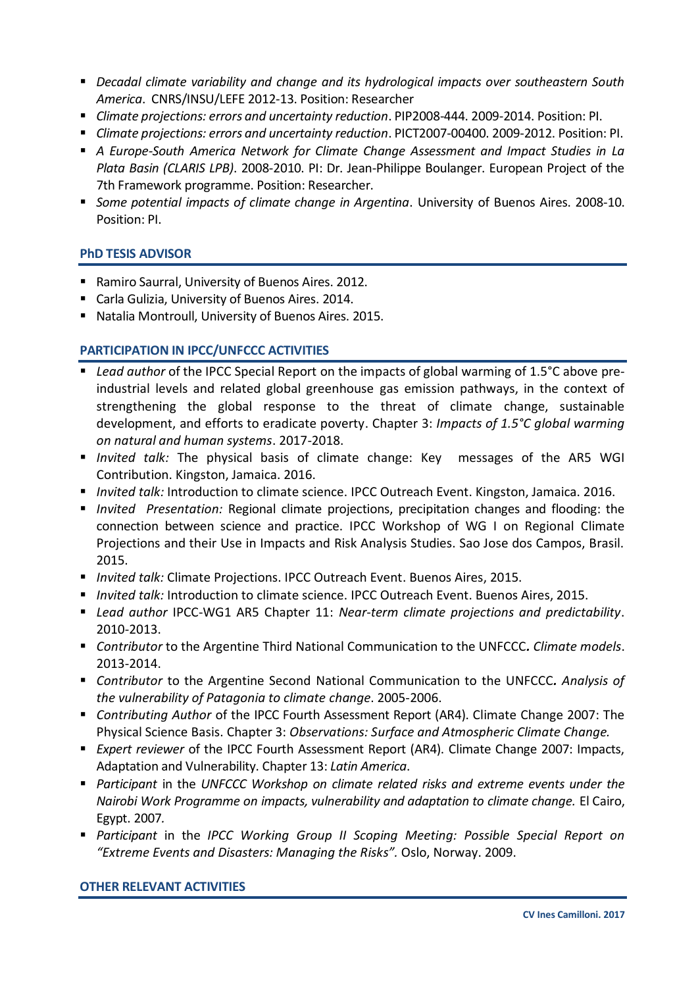- *Decadal climate variability and change and its hydrological impacts over southeastern South America*. CNRS/INSU/LEFE 2012-13. Position: Researcher
- *Climate projections: errors and uncertainty reduction*. PIP2008-444. 2009-2014. Position: PI.
- *Climate projections: errors and uncertainty reduction*. PICT2007-00400. 2009-2012. Position: PI.
- *A Europe-South America Network for Climate Change Assessment and Impact Studies in La Plata Basin (CLARIS LPB)*. 2008-2010. PI: Dr. Jean-Philippe Boulanger. European Project of the 7th Framework programme. Position: Researcher.
- *Some potential impacts of climate change in Argentina*. University of Buenos Aires. 2008-10. Position: PI.

## **PhD TESIS ADVISOR**

- Ramiro Saurral, University of Buenos Aires. 2012.
- Carla Gulizia, University of Buenos Aires. 2014.
- Natalia Montroull, University of Buenos Aires. 2015.

## **PARTICIPATION IN IPCC/UNFCCC ACTIVITIES**

- *Lead author* of the IPCC Special Report on the impacts of global warming of 1.5<sup>°</sup>C above preindustrial levels and related global greenhouse gas emission pathways, in the context of strengthening the global response to the threat of climate change, sustainable development, and efforts to eradicate poverty. Chapter 3: *Impacts of 1.5°C global warming on natural and human systems*. 2017-2018.
- *Invited talk:* The physical basis of climate change: Key messages of the AR5 WGI Contribution. Kingston, Jamaica. 2016.
- *Invited talk:* Introduction to climate science. IPCC Outreach Event. Kingston, Jamaica. 2016.
- *Invited Presentation:* Regional climate projections, precipitation changes and flooding: the connection between science and practice. IPCC Workshop of WG I on Regional Climate Projections and their Use in Impacts and Risk Analysis Studies. Sao Jose dos Campos, Brasil. 2015.
- *Invited talk:* Climate Projections. IPCC Outreach Event. Buenos Aires, 2015.
- *Invited talk:* Introduction to climate science. IPCC Outreach Event. Buenos Aires, 2015.
- *Lead author* IPCC-WG1 AR5 Chapter 11: *Near-term climate projections and predictability*. 2010-2013.
- *Contributor* to the Argentine Third National Communication to the UNFCCC*. Climate models*. 2013-2014.
- *Contributor* to the Argentine Second National Communication to the UNFCCC*. Analysis of the vulnerability of Patagonia to climate change*. 2005-2006.
- *Contributing Author* of the IPCC Fourth Assessment Report (AR4). Climate Change 2007: The Physical Science Basis. Chapter 3: *Observations: Surface and Atmospheric Climate Change.*
- *Expert reviewer* of the IPCC Fourth Assessment Report (AR4). Climate Change 2007: Impacts, Adaptation and Vulnerability. Chapter 13: *Latin America*.
- *Participant* in the *UNFCCC Workshop on climate related risks and extreme events under the Nairobi Work Programme on impacts, vulnerability and adaptation to climate change.* El Cairo, Egypt. 2007*.*
- *Participant* in the *IPCC Working Group II Scoping Meeting: Possible Special Report on "Extreme Events and Disasters: Managing the Risks".* Oslo, Norway. 2009.

### **OTHER RELEVANT ACTIVITIES**